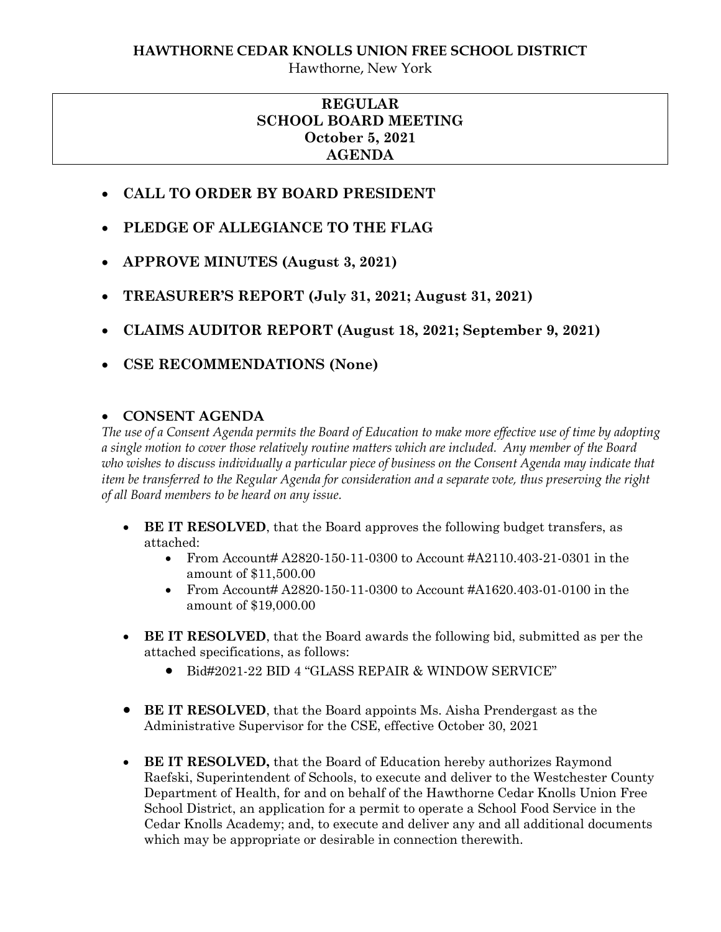## **REGULAR SCHOOL BOARD MEETING October 5, 2021 AGENDA**

- **CALL TO ORDER BY BOARD PRESIDENT**
- **PLEDGE OF ALLEGIANCE TO THE FLAG**
- **APPROVE MINUTES (August 3, 2021)**
- **TREASURER'S REPORT (July 31, 2021; August 31, 2021)**
- **CLAIMS AUDITOR REPORT (August 18, 2021; September 9, 2021)**
- **CSE RECOMMENDATIONS (None)**

# **CONSENT AGENDA**

*The use of a Consent Agenda permits the Board of Education to make more effective use of time by adopting a single motion to cover those relatively routine matters which are included. Any member of the Board who wishes to discuss individually a particular piece of business on the Consent Agenda may indicate that item be transferred to the Regular Agenda for consideration and a separate vote, thus preserving the right of all Board members to be heard on any issue.* 

- **BE IT RESOLVED**, that the Board approves the following budget transfers, as attached:
	- From Account#  $A2820-150-11-0300$  to Account #A2110.403-21-0301 in the amount of \$11,500.00
	- From Account  $\#$  A2820-150-11-0300 to Account  $\#$ A1620.403-01-0100 in the amount of \$19,000.00
- **BE IT RESOLVED**, that the Board awards the following bid, submitted as per the attached specifications, as follows:
	- Bid#2021-22 BID 4 "GLASS REPAIR & WINDOW SERVICE"
- **BE IT RESOLVED**, that the Board appoints Ms. Aisha Prendergast as the Administrative Supervisor for the CSE, effective October 30, 2021
- **BE IT RESOLVED,** that the Board of Education hereby authorizes Raymond Raefski, Superintendent of Schools, to execute and deliver to the Westchester County Department of Health, for and on behalf of the Hawthorne Cedar Knolls Union Free School District, an application for a permit to operate a School Food Service in the Cedar Knolls Academy; and, to execute and deliver any and all additional documents which may be appropriate or desirable in connection therewith.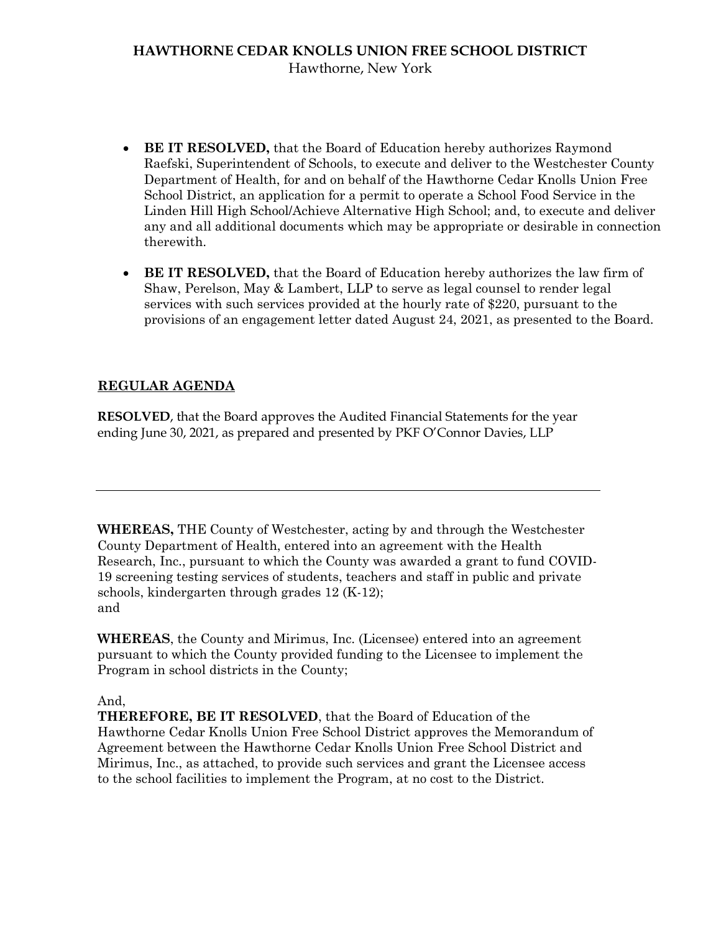## **HAWTHORNE CEDAR KNOLLS UNION FREE SCHOOL DISTRICT** Hawthorne, New York

- **BE IT RESOLVED,** that the Board of Education hereby authorizes Raymond Raefski, Superintendent of Schools, to execute and deliver to the Westchester County Department of Health, for and on behalf of the Hawthorne Cedar Knolls Union Free School District, an application for a permit to operate a School Food Service in the Linden Hill High School/Achieve Alternative High School; and, to execute and deliver any and all additional documents which may be appropriate or desirable in connection therewith.
- **BE IT RESOLVED,** that the Board of Education hereby authorizes the law firm of Shaw, Perelson, May & Lambert, LLP to serve as legal counsel to render legal services with such services provided at the hourly rate of \$220, pursuant to the provisions of an engagement letter dated August 24, 2021, as presented to the Board.

### **REGULAR AGENDA**

**RESOLVED**, that the Board approves the Audited Financial Statements for the year ending June 30, 2021, as prepared and presented by PKF O'Connor Davies, LLP

**WHEREAS,** THE County of Westchester, acting by and through the Westchester County Department of Health, entered into an agreement with the Health Research, Inc., pursuant to which the County was awarded a grant to fund COVID-19 screening testing services of students, teachers and staff in public and private schools, kindergarten through grades 12 (K-12); and

**WHEREAS**, the County and Mirimus, Inc. (Licensee) entered into an agreement pursuant to which the County provided funding to the Licensee to implement the Program in school districts in the County;

And,

**THEREFORE, BE IT RESOLVED**, that the Board of Education of the Hawthorne Cedar Knolls Union Free School District approves the Memorandum of Agreement between the Hawthorne Cedar Knolls Union Free School District and Mirimus, Inc., as attached, to provide such services and grant the Licensee access to the school facilities to implement the Program, at no cost to the District.